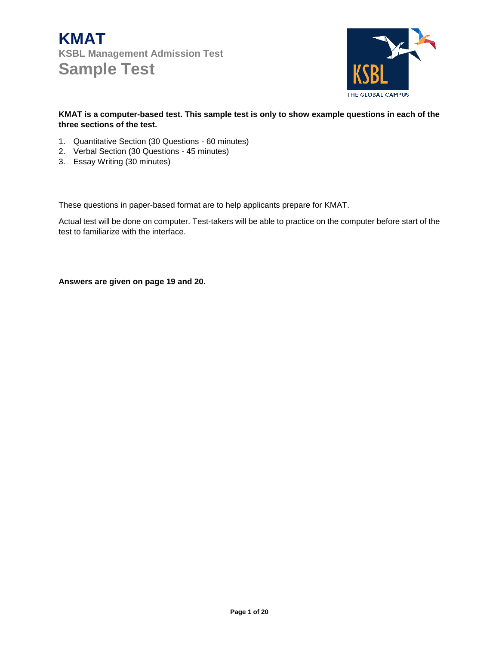

#### **KMAT is a computer-based test. This sample test is only to show example questions in each of the three sections of the test.**

- 1. Quantitative Section (30 Questions 60 minutes)
- 2. Verbal Section (30 Questions 45 minutes)
- 3. Essay Writing (30 minutes)

These questions in paper-based format are to help applicants prepare for KMAT.

Actual test will be done on computer. Test-takers will be able to practice on the computer before start of the test to familiarize with the interface.

**Answers are given on page 19 and 20.**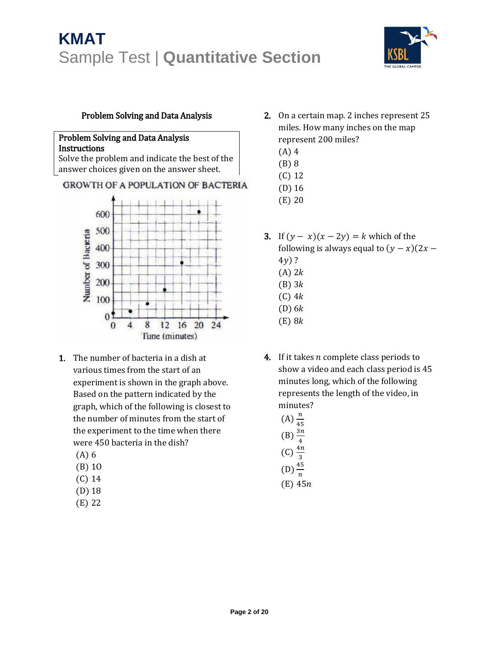

#### Problem Solving and Data Analysis

#### Problem Solving and Data Analysis **Instructions**

Solve the problem and indicate the best of the answer choices given on the answer sheet.

**GROWTH OF A POPULATION OF BACTERIA** 



- 1. The number of bacteria in a dish at various times from the start of an experiment is shown in the graph above. Based on the pattern indicated by the graph, which of the following is closest to the number of minutes from the start of the experiment to the time when there were 450 bacteria in the dish?
	- (A) 6
	- (B) 1O
	- (C) 14
	- (D) 18
	- (E) 22
- 2. On a certain map. 2 inches represent 25 miles. How many inches on the map represent 200 miles?
	- (A) 4
	- (B) 8
	- (C) 12
	- (D) 16
	- (E) 20
- 3. If  $(y x)(x 2y) = k$  which of the following is always equal to  $(y - x)(2x 4y$ )?
	- $(A)$  2 $k$
	- $(B)$  3 $k$
	- $(C)$  4 $k$
	- $(D)$  6 $k$
	- $(E)$  8 $k$
- 4. If it takes  $n$  complete class periods to show a video and each class period is 45 minutes long, which of the following represents the length of the video, in minutes?
	- $(A) \frac{n}{45}$ (B)  $\frac{3n}{4}$  $(C)$  $\frac{4n}{3}$ (D)  $\frac{45}{n}$
	- $(E)$  45 $n$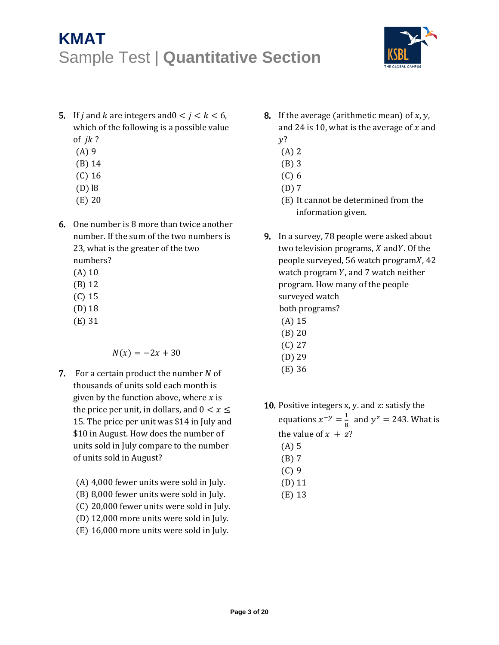

- **5.** If *j* and *k* are integers and  $0 < j < k < 6$ , which of the following is a possible value of  $ik$  ?
	- (A) 9
	- (B) 14
	- (C) 16
	- (D) l8
	- (E) 20
- 6. One number is 8 more than twice another number. If the sum of the two numbers is 23, what is the greater of the two numbers?
	- (A) 10
	- (B) 12
	- (C) 15
	- (D) 18
	- (E) 31

$$
N(x) = -2x + 30
$$

- 7. For a certain product the number  $N$  of thousands of units sold each month is given by the function above, where  $x$  is the price per unit, in dollars, and  $0 < x \leq$ 15. The price per unit was \$14 in July and \$10 in August. How does the number of units sold in July compare to the number of units sold in August?
	- (A) 4,000 fewer units were sold in July.
	- (B) 8,000 fewer units were sold in July.
	- (C) 20,000 fewer units were sold in July.
	- (D) 12,000 more units were sold in July.
	- (E) 16,000 more units were sold in July.
- 8. If the average (arithmetic mean) of  $x, y$ , and 24 is 10, what is the average of  $x$  and  $v$ ?
	- (A) 2
	- (B) 3
	- (C) 6
	- (D) 7
	- (E) It cannot be determined from the information given.
- 9. In a survey, 78 people were asked about two television programs,  $X$  and $Y$ . Of the people surveyed, 56 watch program $X$ , 42 watch program  $Y$ , and 7 watch neither program. How many of the people surveyed watch both programs?
	- (A) 15
	- (B) 20
	- (C) 27 (D) 29
	- (E) 36
- 10. Positive integers x, y. and z: satisfy the equations  $x^{-y} = \frac{1}{2}$  $\frac{1}{8}$  and  $y^2 = 243$ . What is the value of  $x + z$ ? (A) 5 (B) 7
	- (C) 9
	- (D) 11
	- (E) 13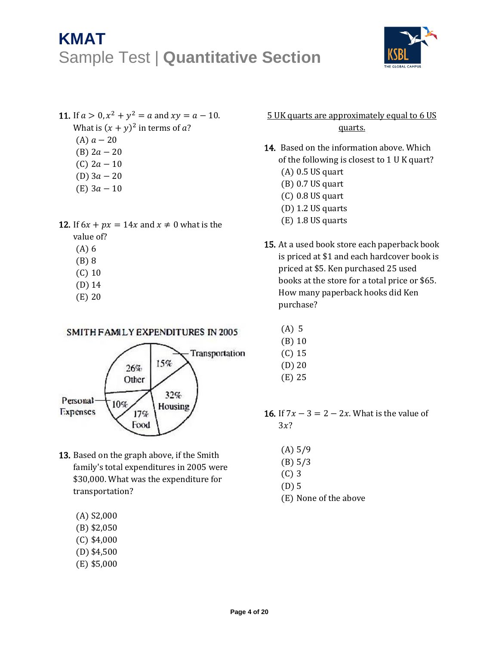

**11.** If  $a > 0, x^2 + y^2 = a$  and  $xy = a - 10$ . What is  $(x + y)^2$  in terms of a? (A)  $a - 20$ (B)  $2a - 20$ (C)  $2a - 10$ (D)  $3a - 20$ 

- (E)  $3a 10$
- **12.** If  $6x + px = 14x$  and  $x \neq 0$  what is the value of?
	- (A) 6
	- (B) 8
	- (C) 10
	- (D) 14
	- (E) 20

#### SMITH FAMILY EXPENDITURES IN 2005



- 13. Based on the graph above, if the Smith family's total expenditures in 2005 were \$30,000. What was the expenditure for transportation?
	- (A) S2,000
	- (B) \$2,050
	- (C) \$4,000
	- (D) \$4,500
	- (E) \$5,000

5 UK quarts are approximately equal to 6 US quarts.

- 14. Based on the information above. Which of the following is closest to 1 U K quart? (A) 0.5 US quart (B) 0.7 US quart (C) 0.8 US quart (D) 1.2 US quarts
	- (E) 1.8 US quarts
- 15. At a used book store each paperback book is priced at \$1 and each hardcover book is priced at \$5. Ken purchased 25 used books at the store for a total price or \$65. How many paperback hooks did Ken purchase?
	- (A) 5
	- (B) 10
	- (C) 15
	- (D) 20
	- (E) 25

**16.** If  $7x - 3 = 2 - 2x$ . What is the value of  $3x$ ?

- (A) 5/9
- (B) 5/3
- (C) 3
- (D) 5
- (E) None of the above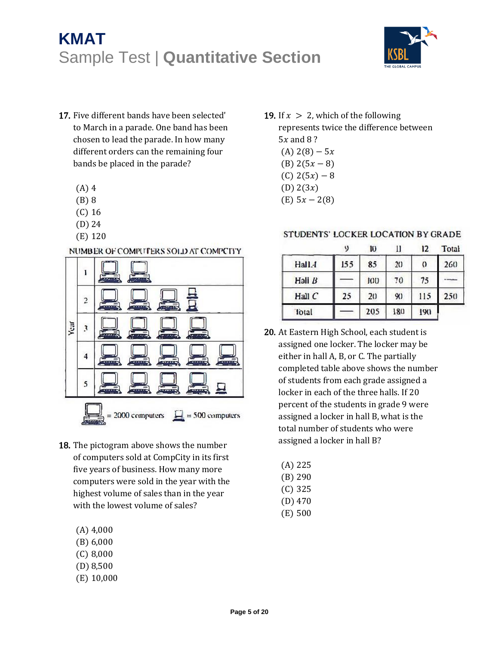

- 17. Five different bands have been selected' to March in a parade. One band has been chosen to lead the parade. In how many different orders can the remaining four bands be placed in the parade?
	- (A) 4
	- (B) 8
	- (C) 16
	- (D) 24
	- (E) 120

#### NUMBER OF COMPUTERS SOLD AT COMPCTTY



- 18. The pictogram above shows the number of computers sold at CompCity in its first five years of business. How many more computers were sold in the year with the highest volume of sales than in the year with the lowest volume of sales?
	- (A) 4,000
	- (B) 6,000
	- (C) 8,000
	- (D) 8,500
	- (E) 10,000

#### **19.** If  $x > 2$ , which of the following represents twice the difference between  $5x$  and 8?

- (A)  $2(8) 5x$
- (B)  $2(5x 8)$
- (C)  $2(5x) 8$
- (D)  $2(3x)$
- (E)  $5x 2(8)$

#### STUDENTS' LOCKER LOCATION BY GRADE

|          | y   | 10  |     | $12 \overline{ }$ | Total |
|----------|-----|-----|-----|-------------------|-------|
| Hall.1   | 155 | 85  | 2() | $\Omega$          | 260   |
| Hall $B$ |     | 100 | 70  | 75                |       |
| Hall $C$ | 25  | 2() | 90  | 115               | 250   |
| lotal    |     | 205 | 180 | 190               |       |

20. At Eastern High School, each student is assigned one locker. The locker may be either in hall A, B, or C. The partially completed table above shows the number of students from each grade assigned a locker in each of the three halls. If 20 percent of the students in grade 9 were assigned a locker in hall B, what is the total number of students who were assigned a locker in hall B?

| (A) | -225    |
|-----|---------|
|     | (B) 290 |

- (C) 325
- (D) 470
- (E) 500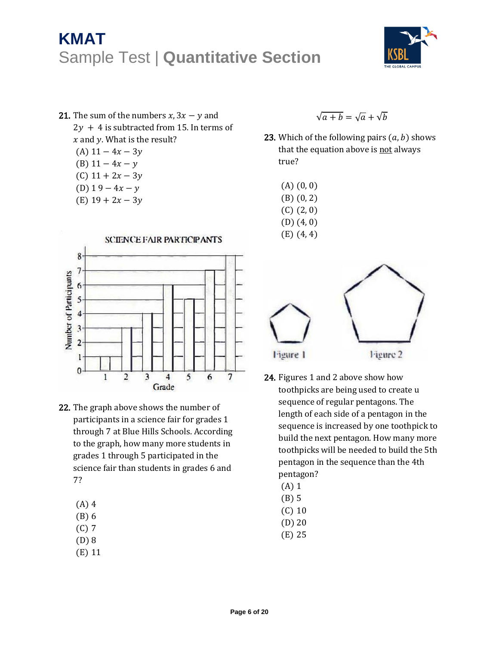

**21.** The sum of the numbers  $x$ ,  $3x - y$  and  $2y + 4$  is subtracted from 15. In terms of

 $x$  and  $y$ . What is the result?

- (A)  $11 4x 3y$
- (B)  $11 4x y$
- (C)  $11 + 2x 3y$
- (D)  $19 4x y$
- $(E)$  19 + 2x 3y



- 22. The graph above shows the number of participants in a science fair for grades 1 through 7 at Blue Hills Schools. According to the graph, how many more students in grades 1 through 5 participated in the science fair than students in grades 6 and 7?
	- (A) 4
	- (B) 6
	- (C) 7
	- (D) 8
	- (E) 11

$$
\sqrt{a+b} = \sqrt{a} + \sqrt{b}
$$

- 23. Which of the following pairs  $(a, b)$  shows that the equation above is not always true?
	- (A) (0, 0)
	- (B) (0, 2) (C) (2, 0)
	- (D) (4, 0)
	- (E) (4, 4)



- 24. Figures 1 and 2 above show how toothpicks are being used to create u sequence of regular pentagons. The length of each side of a pentagon in the sequence is increased by one toothpick to build the next pentagon. How many more toothpicks will be needed to build the 5th pentagon in the sequence than the 4th pentagon?
	- (A) 1
	- (B) 5
	- (C) 10
	- (D) 20
	- (E) 25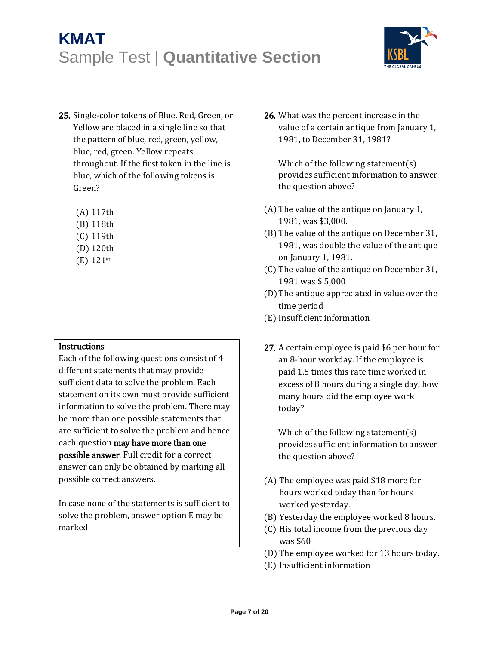

- 25. Single-color tokens of Blue. Red, Green, or Yellow are placed in a single line so that the pattern of blue, red, green, yellow, blue, red, green. Yellow repeats throughout. If the first token in the line is blue, which of the following tokens is Green?
	- (A) 117th
	- (B) 118th
	- (C) 119th
	- (D) 120th
	- (E) 121st

#### **Instructions**

Each of the following questions consist of 4 different statements that may provide sufficient data to solve the problem. Each statement on its own must provide sufficient information to solve the problem. There may be more than one possible statements that are sufficient to solve the problem and hence each question may have more than one possible answer. Full credit for a correct answer can only be obtained by marking all possible correct answers.

In case none of the statements is sufficient to solve the problem, answer option E may be marked

26. What was the percent increase in the value of a certain antique from January 1, 1981, to December 31, 1981?

Which of the following statement(s) provides sufficient information to answer the question above?

- (A) The value of the antique on January 1, 1981, was \$3,000.
- (B) The value of the antique on December 31, 1981, was double the value of the antique on January 1, 1981.
- (C) The value of the antique on December 31, 1981 was \$ 5,000
- (D)The antique appreciated in value over the time period
- (E) Insufficient information
- 27. A certain employee is paid \$6 per hour for an 8-hour workday. If the employee is paid 1.5 times this rate time worked in excess of 8 hours during a single day, how many hours did the employee work today?

Which of the following statement(s) provides sufficient information to answer the question above?

- (A) The employee was paid \$18 more for hours worked today than for hours worked yesterday.
- (B) Yesterday the employee worked 8 hours.
- (C) His total income from the previous day was \$60
- (D) The employee worked for 13 hours today.
- (E) Insufficient information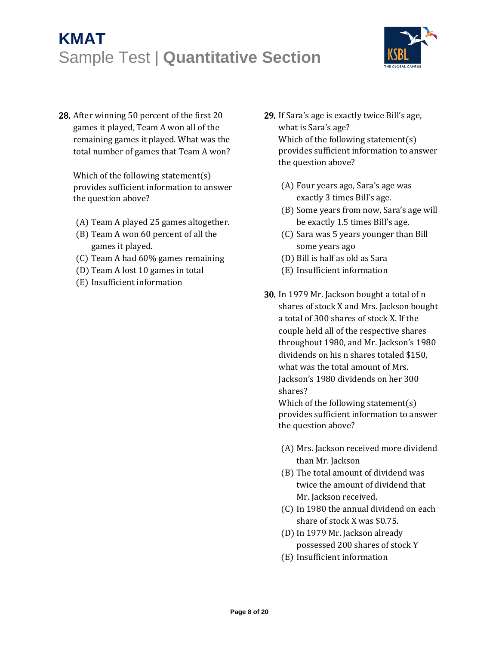

28. After winning 50 percent of the first 20 games it played, Team A won all of the remaining games it played. What was the total number of games that Team A won?

Which of the following statement(s) provides sufficient information to answer the question above?

- (A) Team A played 25 games altogether.
- (B) Team A won 60 percent of all the games it played.
- (C) Team A had 60% games remaining
- (D) Team A lost 10 games in total
- (E) Insufficient information
- 29. If Sara's age is exactly twice Bill's age, what is Sara's age? Which of the following statement(s) provides sufficient information to answer the question above?
	- (A) Four years ago, Sara's age was exactly 3 times Bill's age.
	- (B) Some years from now, Sara's age will be exactly 1.5 times Bill's age.
	- (C) Sara was 5 years younger than Bill some years ago
	- (D) Bill is half as old as Sara
	- (E) Insufficient information
- 30. In 1979 Mr. Jackson bought a total of n shares of stock X and Mrs. Jackson bought a total of 300 shares of stock X. If the couple held all of the respective shares throughout 1980, and Mr. Jackson's 1980 dividends on his n shares totaled \$150, what was the total amount of Mrs. Jackson's 1980 dividends on her 300 shares?

Which of the following statement(s) provides sufficient information to answer the question above?

- (A) Mrs. Jackson received more dividend than Mr. Jackson
- (B) The total amount of dividend was twice the amount of dividend that Mr. Jackson received.
- (C) In 1980 the annual dividend on each share of stock X was \$0.75.
- (D) In 1979 Mr. Jackson already possessed 200 shares of stock Y
- (E) Insufficient information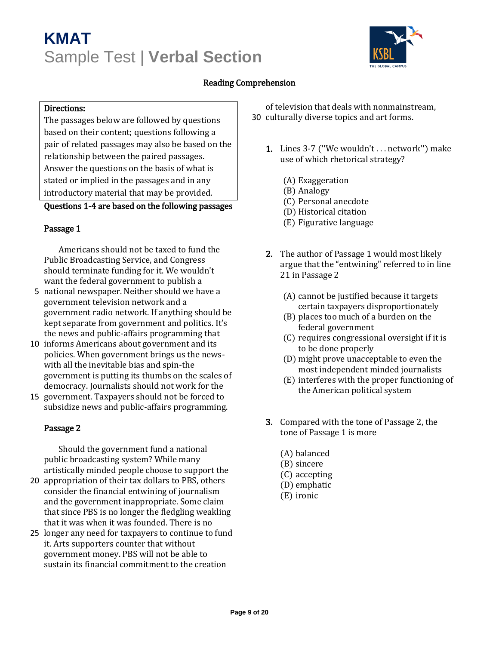

#### Reading Comprehension

#### Directions:

The passages below are followed by questions based on their content; questions following a pair of related passages may also be based on the relationship between the paired passages. Answer the questions on the basis of what is stated or implied in the passages and in any introductory material that may be provided.

#### Questions 1-4 are based on the following passages

#### Passage 1

Americans should not be taxed to fund the Public Broadcasting Service, and Congress should terminate funding for it. We wouldn't want the federal government to publish a

- 5 national newspaper. Neither should we have a government television network and a government radio network. If anything should be kept separate from government and politics. It's the news and public-affairs programming that
- 10 informs Americans about government and its policies. When government brings us the newswith all the inevitable bias and spin-the government is putting its thumbs on the scales of democracy. Journalists should not work for the
- 15 government. Taxpayers should not be forced to subsidize news and public-affairs programming.

#### Passage 2

Should the government fund a national public broadcasting system? While many artistically minded people choose to support the

- 20 appropriation of their tax dollars to PBS, others consider the financial entwining of journalism and the government inappropriate. Some claim that since PBS is no longer the fledgling weakling that it was when it was founded. There is no
- 25 longer any need for taxpayers to continue to fund it. Arts supporters counter that without government money. PBS will not be able to sustain its financial commitment to the creation

of television that deals with nonmainstream, 30 culturally diverse topics and art forms.

- 1. Lines 3-7 (''We wouldn't . . . network'') make use of which rhetorical strategy?
	- (A) Exaggeration
	- (B) Analogy
	- (C) Personal anecdote
	- (D) Historical citation
	- (E) Figurative language
- 2. The author of Passage 1 would most likely argue that the "entwining" referred to in line 21 in Passage 2
	- (A) cannot be justified because it targets certain taxpayers disproportionately
	- (B) places too much of a burden on the federal government
	- (C) requires congressional oversight if it is to be done properly
	- (D) might prove unacceptable to even the most independent minded journalists
	- (E) interferes with the proper functioning of the American political system
- 3. Compared with the tone of Passage 2, the tone of Passage 1 is more
	- (A) balanced
	- (B) sincere
	- (C) accepting
	- (D) emphatic
	- (E) ironic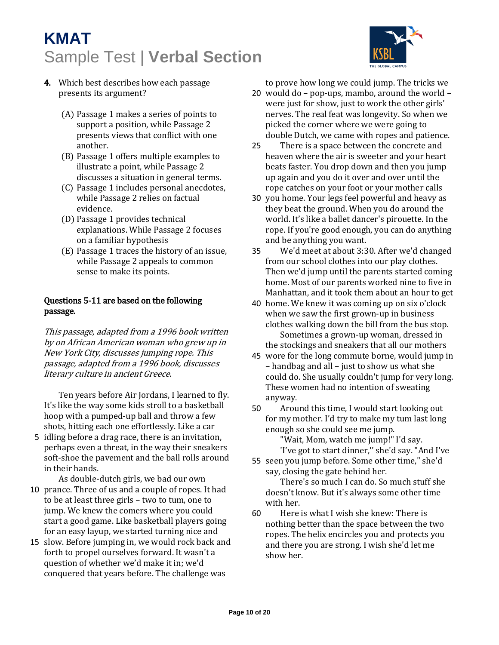

- 4. Which best describes how each passage presents its argument?
	- (A) Passage 1 makes a series of points to support a position, while Passage 2 presents views that conflict with one another.
	- (B) Passage 1 offers multiple examples to illustrate a point, while Passage 2 discusses a situation in general terms.
	- (C) Passage 1 includes personal anecdotes, while Passage 2 relies on factual evidence.
	- (D) Passage 1 provides technical explanations. While Passage 2 focuses on a familiar hypothesis
	- (E) Passage 1 traces the history of an issue, while Passage 2 appeals to common sense to make its points.

#### Questions 5-11 are based on the following passage.

This passage, adapted from a 1996 book written by on African American woman who grew up in New York City, discusses jumping rope. This passage, adapted from a 1996 book, discusses literary culture in ancient Greece.

Ten years before Air Jordans, I learned to fly. It's like the way some kids stroll to a basketball hoop with a pumped-up ball and throw a few shots, hitting each one effortlessly. Like a car

5 idling before a drag race, there is an invitation, perhaps even a threat, in the way their sneakers soft-shoe the pavement and the ball rolls around in their hands.

As double-dutch girls, we bad our own 10 prance. Three of us and a couple of ropes. It had to be at least three girls – two to tum, one to jump. We knew the comers where you could start a good game. Like basketball players going for an easy layup, we started turning nice and

15 slow. Before jumping in, we would rock back and forth to propel ourselves forward. It wasn't a question of whether we'd make it in; we'd conquered that years before. The challenge was

to prove how long we could jump. The tricks we

- 20 would do pop-ups, mambo, around the world were just for show, just to work the other girls' nerves. The real feat was longevity. So when we picked the corner where we were going to double Dutch, we came with ropes and patience.
- 25 There is a space between the concrete and heaven where the air is sweeter and your heart beats faster. You drop down and then you jump up again and you do it over and over until the rope catches on your foot or your mother calls
- 30 you home. Your legs feel powerful and heavy as they beat the ground. When you do around the world. It's like a ballet dancer's pirouette. In the rope. If you're good enough, you can do anything and be anything you want.
- 35 We'd meet at about 3:30. After we'd changed from our school clothes into our play clothes. Then we'd jump until the parents started coming home. Most of our parents worked nine to five in Manhattan, and it took them about an hour to get
- 40 home. We knew it was coming up on six o'clock when we saw the first grown-up in business clothes walking down the bill from the bus stop. Sometimes a grown-up woman, dressed in the stockings and sneakers that all our mothers
- 45 wore for the long commute borne, would jump in – handbag and all – just to show us what she could do. She usually couldn't jump for very long. These women had no intention of sweating anyway.
- 50 Around this time, I would start looking out for my mother. I'd try to make my tum last long enough so she could see me jump.

"Wait, Mom, watch me jump!" I'd say. 'I've got to start dinner,'' she'd say. "And I've

55 seen you jump before. Some other time," she'd say, closing the gate behind her.

There's so much I can do. So much stuff she doesn't know. But it's always some other time with her.

60 Here is what I wish she knew: There is nothing better than the space between the two ropes. The helix encircles you and protects you and there you are strong. I wish she'd let me show her.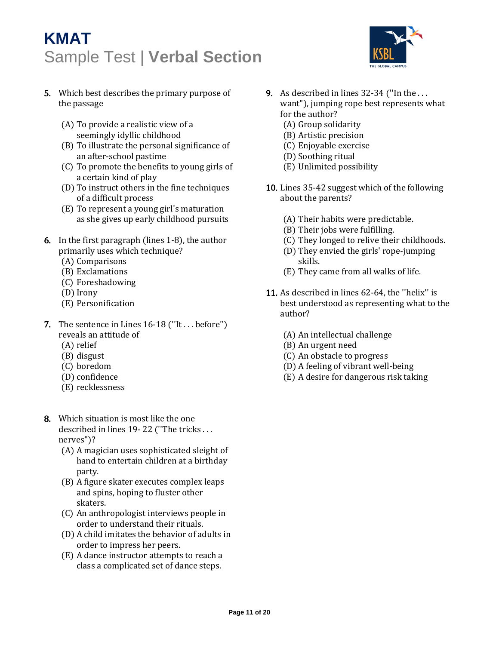

- 5. Which best describes the primary purpose of the passage
	- (A) To provide a realistic view of a seemingly idyllic childhood
	- (B) To illustrate the personal significance of an after-school pastime
	- (C) To promote the benefits to young girls of a certain kind of play
	- (D) To instruct others in the fine techniques of a difficult process
	- (E) To represent a young girl's maturation as she gives up early childhood pursuits
- 6. In the first paragraph (lines 1-8), the author primarily uses which technique?
	- (A) Comparisons
	- (B) Exclamations
	- (C) Foreshadowing
	- (D) Irony
	- (E) Personification
- 7. The sentence in Lines  $16-18$  ("It... before") reveals an attitude of
	- (A) relief
	- (B) disgust
	- (C) boredom
	- (D) confidence
	- (E) recklessness
- 8. Which situation is most like the one described in lines 19- 22 (''The tricks . . . nerves")?
	- (A) A magician uses sophisticated sleight of hand to entertain children at a birthday party.
	- (B) A figure skater executes complex leaps and spins, hoping to fluster other skaters.
	- (C) An anthropologist interviews people in order to understand their rituals.
	- (D) A child imitates the behavior of adults in order to impress her peers.
	- (E) A dance instructor attempts to reach a class a complicated set of dance steps.
- 9. As described in lines 32-34 (''In the . . . want"), jumping rope best represents what for the author?
	- (A) Group solidarity
	- (B) Artistic precision
	- (C) Enjoyable exercise
	- (D) Soothing ritual
	- (E) Unlimited possibility
- 10. Lines 35-42 suggest which of the following about the parents?
	- (A) Their habits were predictable.
	- (B) Their jobs were fulfilling.
	- (C) They longed to relive their childhoods.
	- (D) They envied the girls' rope-jumping skills.
	- (E) They came from all walks of life.
- 11. As described in lines 62-64, the ''helix'' is best understood as representing what to the author?
	- (A) An intellectual challenge
	- (B) An urgent need
	- (C) An obstacle to progress
	- (D) A feeling of vibrant well-being
	- (E) A desire for dangerous risk taking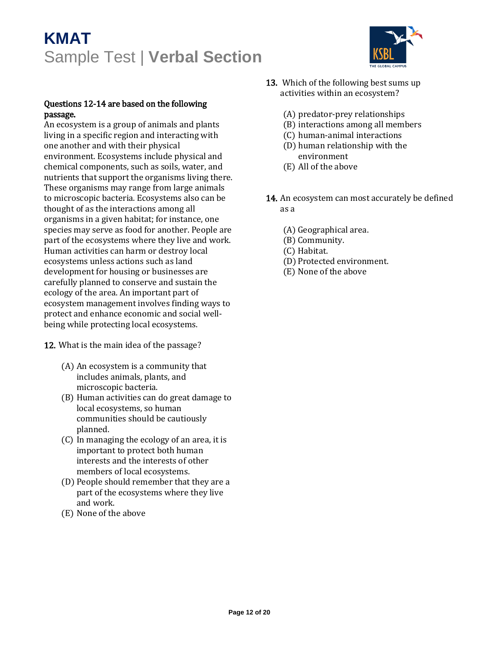

### passage.

An ecosystem is a group of animals and plants living in a specific region and interacting with one another and with their physical environment. Ecosystems include physical and chemical components, such as soils, water, and nutrients that support the organisms living there. These organisms may range from large animals to microscopic bacteria. Ecosystems also can be thought of as the interactions among all organisms in a given habitat; for instance, one species may serve as food for another. People are part of the ecosystems where they live and work. Human activities can harm or destroy local ecosystems unless actions such as land development for housing or businesses are carefully planned to conserve and sustain the ecology of the area. An important part of ecosystem management involves finding ways to protect and enhance economic and social wellbeing while protecting local ecosystems.

12. What is the main idea of the passage?

- (A) An ecosystem is a community that includes animals, plants, and microscopic bacteria.
- (B) Human activities can do great damage to local ecosystems, so human communities should be cautiously planned.
- (C) In managing the ecology of an area, it is important to protect both human interests and the interests of other members of local ecosystems.
- (D) People should remember that they are a part of the ecosystems where they live and work.
- (E) None of the above
- 13. Which of the following best sums up activities within an ecosystem?
	- (A) predator-prey relationships
	- (B) interactions among all members
	- (C) human-animal interactions
	- (D) human relationship with the environment
	- (E) All of the above
- 14. An ecosystem can most accurately be defined as a
	- (A) Geographical area.
	- (B) Community.
	- (C) Habitat.
	- (D) Protected environment.
	- (E) None of the above

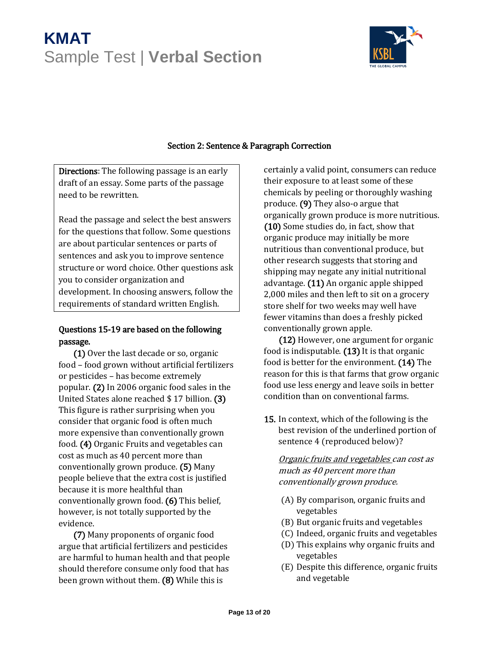

#### Section 2: Sentence & Paragraph Correction

Directions: The following passage is an early draft of an essay. Some parts of the passage need to be rewritten.

Read the passage and select the best answers for the questions that follow. Some questions are about particular sentences or parts of sentences and ask you to improve sentence structure or word choice. Other questions ask you to consider organization and development. In choosing answers, follow the requirements of standard written English.

#### Questions 15-19 are based on the following passage.

(1) Over the last decade or so, organic food – food grown without artificial fertilizers or pesticides – has become extremely popular. (2) In 2006 organic food sales in the United States alone reached \$ 17 billion. (3) This figure is rather surprising when you consider that organic food is often much more expensive than conventionally grown food. (4) Organic Fruits and vegetables can cost as much as 40 percent more than conventionally grown produce. (5) Many people believe that the extra cost is justified because it is more healthful than conventionally grown food. (6) This belief, however, is not totally supported by the evidence.

(7) Many proponents of organic food argue that artificial fertilizers and pesticides are harmful to human health and that people should therefore consume only food that has been grown without them. (8) While this is

certainly a valid point, consumers can reduce their exposure to at least some of these chemicals by peeling or thoroughly washing produce. (9) They also-o argue that organically grown produce is more nutritious. (10) Some studies do, in fact, show that organic produce may initially be more nutritious than conventional produce, but other research suggests that storing and shipping may negate any initial nutritional advantage. (11) An organic apple shipped 2,000 miles and then left to sit on a grocery store shelf for two weeks may well have fewer vitamins than does a freshly picked conventionally grown apple.

(12) However, one argument for organic food is indisputable. (13) It is that organic food is better for the environment. (14) The reason for this is that farms that grow organic food use less energy and leave soils in better condition than on conventional farms.

15. In context, which of the following is the best revision of the underlined portion of sentence 4 (reproduced below)?

Organic fruits and vegetables can cost as much as 40 percent more than conventionally grown produce.

- (A) By comparison, organic fruits and vegetables
- (B) But organic fruits and vegetables
- (C) Indeed, organic fruits and vegetables
- (D) This explains why organic fruits and vegetables
- (E) Despite this difference, organic fruits and vegetable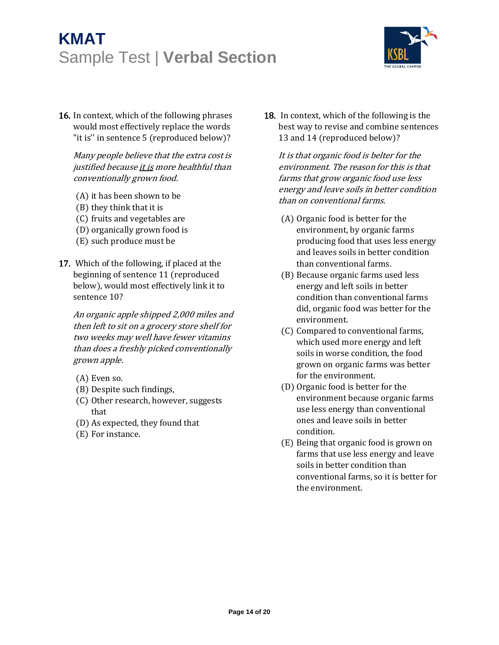

16. In context, which of the following phrases would most effectively replace the words "it is'' in sentence 5 (reproduced below)?

Many people believe that the extra cost is justified because it is more healthful than conventionally grown food.

- (A) it has been shown to be
- (B) they think that it is
- (C) fruits and vegetables are
- (D) organically grown food is
- (E) such produce must be
- 17. Which of the following, if placed at the beginning of sentence 11 (reproduced below), would most effectively link it to sentence 10?

An organic apple shipped 2,000 miles and then left to sit on a grocery store shelf for two weeks may well have fewer vitamins than does a freshly picked conventionally grown apple.

- (A) Even so.
- (B) Despite such findings,
- (C) Other research, however, suggests that
- (D) As expected, they found that
- (E) For instance.

18. In context, which of the following is the best way to revise and combine sentences 13 and 14 (reproduced below)?

It is that organic food is belter for the environment. The reason for this is that farms that grow organic food use less energy and leave soils in better condition than on conventional farms.

- (A) Organic food is better for the environment, by organic farms producing food that uses less energy and leaves soils in better condition than conventional farms.
- (B) Because organic farms used less energy and left soils in better condition than conventional farms did, organic food was better for the environment.
- (C) Compared to conventional farms, which used more energy and left soils in worse condition, the food grown on organic farms was better for the environment.
- (D) Organic food is better for the environment because organic farms use less energy than conventional ones and leave soils in better condition.
- (E) Being that organic food is grown on farms that use less energy and leave soils in better condition than conventional farms, so it is better for the environment.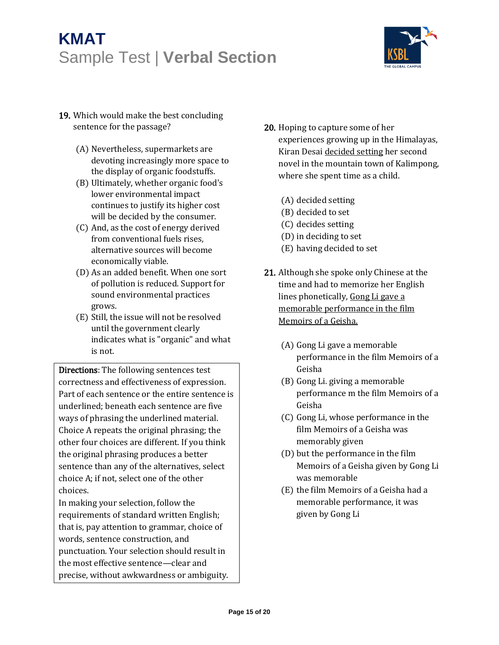

- 19. Which would make the best concluding sentence for the passage?
	- (A) Nevertheless, supermarkets are devoting increasingly more space to the display of organic foodstuffs.
	- (B) Ultimately, whether organic food's lower environmental impact continues to justify its higher cost will be decided by the consumer.
	- (C) And, as the cost of energy derived from conventional fuels rises, alternative sources will become economically viable.
	- (D) As an added benefit. When one sort of pollution is reduced. Support for sound environmental practices grows.
	- (E) Still, the issue will not be resolved until the government clearly indicates what is "organic" and what is not.

Directions: The following sentences test correctness and effectiveness of expression. Part of each sentence or the entire sentence is underlined; beneath each sentence are five ways of phrasing the underlined material. Choice A repeats the original phrasing; the other four choices are different. If you think the original phrasing produces a better sentence than any of the alternatives, select choice A; if not, select one of the other choices.

In making your selection, follow the requirements of standard written English; that is, pay attention to grammar, choice of words, sentence construction, and punctuation. Your selection should result in the most effective sentence—clear and precise, without awkwardness or ambiguity.

- 20. Hoping to capture some of her experiences growing up in the Himalayas, Kiran Desai decided setting her second novel in the mountain town of Kalimpong, where she spent time as a child.
	- (A) decided setting
	- (B) decided to set
	- (C) decides setting
	- (D) in deciding to set
	- (E) having decided to set
- 21. Although she spoke only Chinese at the time and had to memorize her English lines phonetically, Gong Li gave a memorable performance in the film Memoirs of a Geisha.
	- (A) Gong Li gave a memorable performance in the film Memoirs of a Geisha
	- (B) Gong Li. giving a memorable performance m the film Memoirs of a Geisha
	- (C) Gong Li, whose performance in the film Memoirs of a Geisha was memorably given
	- (D) but the performance in the film Memoirs of a Geisha given by Gong Li was memorable
	- (E) the film Memoirs of a Geisha had a memorable performance, it was given by Gong Li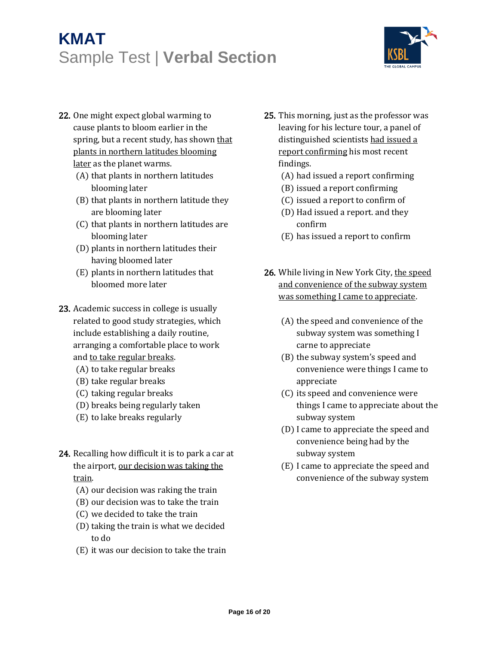

- 22. One might expect global warming to cause plants to bloom earlier in the spring, but a recent study, has shown that plants in northern latitudes blooming later as the planet warms.
	- (A) that plants in northern latitudes blooming later
	- (B) that plants in northern latitude they are blooming later
	- (C) that plants in northern latitudes are blooming later
	- (D) plants in northern latitudes their having bloomed later
	- (E) plants in northern latitudes that bloomed more later
- 23. Academic success in college is usually related to good study strategies, which include establishing a daily routine, arranging a comfortable place to work and to take regular breaks.
	- (A) to take regular breaks
	- (B) take regular breaks
	- (C) taking regular breaks
	- (D) breaks being regularly taken
	- (E) to lake breaks regularly
- 24. Recalling how difficult it is to park a car at the airport, our decision was taking the train.
	- (A) our decision was raking the train
	- (B) our decision was to take the train
	- (C) we decided to take the train
	- (D) taking the train is what we decided to do
	- (E) it was our decision to take the train
- 25. This morning, just as the professor was leaving for his lecture tour, a panel of distinguished scientists had issued a report confirming his most recent findings.
	- (A) had issued a report confirming
	- (B) issued a report confirming
	- (C) issued a report to confirm of
	- (D) Had issued a report. and they confirm
	- (E) has issued a report to confirm
- 26. While living in New York City, the speed and convenience of the subway system was something I came to appreciate.
	- (A) the speed and convenience of the subway system was something I carne to appreciate
	- (B) the subway system's speed and convenience were things I came to appreciate
	- (C) its speed and convenience were things I came to appreciate about the subway system
	- (D) I came to appreciate the speed and convenience being had by the subway system
	- (E) I came to appreciate the speed and convenience of the subway system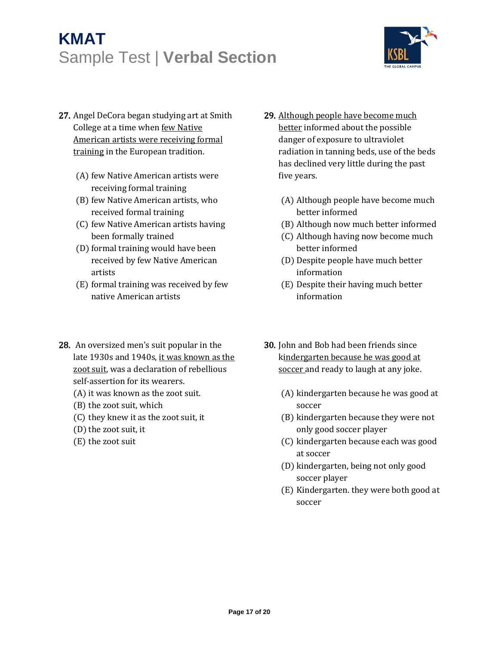

- 27. Angel DeCora began studying art at Smith College at a time when few Native American artists were receiving formal training in the European tradition.
	- (A) few Native American artists were receiving formal training
	- (B) few Native American artists, who received formal training
	- (C) few Native American artists having been formally trained
	- (D) formal training would have been received by few Native American artists
	- (E) formal training was received by few native American artists
- 28. An oversized men's suit popular in the late 1930s and 1940s, it was known as the zoot suit, was a declaration of rebellious self-assertion for its wearers.
	- (A) it was known as the zoot suit.
	- (B) the zoot suit, which
	- (C) they knew it as the zoot suit, it
	- (D) the zoot suit, it
	- (E) the zoot suit
- 29. Although people have become much better informed about the possible danger of exposure to ultraviolet radiation in tanning beds, use of the beds has declined very little during the past five years.
	- (A) Although people have become much better informed
	- (B) Although now much better informed
	- (C) Although having now become much better informed
	- (D) Despite people have much better information
	- (E) Despite their having much better information
- 30. John and Bob had been friends since kindergarten because he was good at soccer and ready to laugh at any joke.
	- (A) kindergarten because he was good at soccer
	- (B) kindergarten because they were not only good soccer player
	- (C) kindergarten because each was good at soccer
	- (D) kindergarten, being not only good soccer player
	- (E) Kindergarten. they were both good at soccer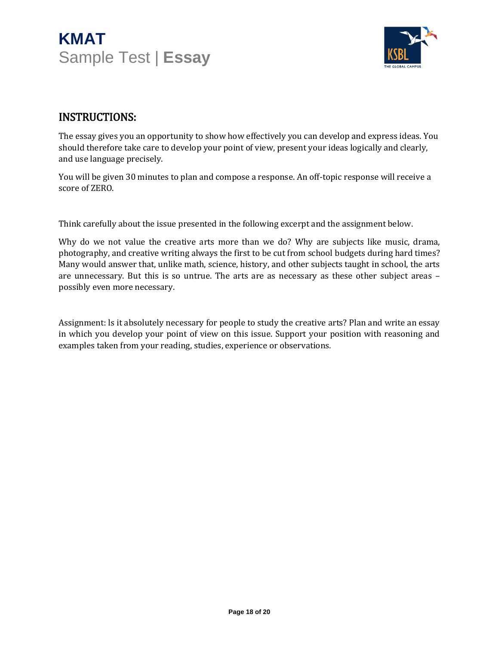### **KMAT** Sample Test | **Essay**



#### INSTRUCTIONS:

The essay gives you an opportunity to show how effectively you can develop and express ideas. You should therefore take care to develop your point of view, present your ideas logically and clearly, and use language precisely.

You will be given 30 minutes to plan and compose a response. An off-topic response will receive a score of ZERO.

Think carefully about the issue presented in the following excerpt and the assignment below.

Why do we not value the creative arts more than we do? Why are subjects like music, drama, photography, and creative writing always the first to be cut from school budgets during hard times? Many would answer that, unlike math, science, history, and other subjects taught in school, the arts are unnecessary. But this is so untrue. The arts are as necessary as these other subject areas – possibly even more necessary.

Assignment: ls it absolutely necessary for people to study the creative arts? Plan and write an essay in which you develop your point of view on this issue. Support your position with reasoning and examples taken from your reading, studies, experience or observations.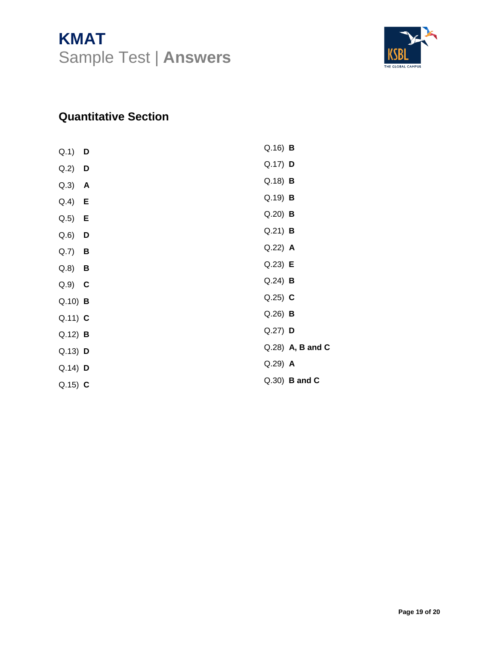# **KMAT** Sample Test | **Answers**



#### **Quantitative Section**

| Q.1               | D              | $Q.16$ ) B        |                         |
|-------------------|----------------|-------------------|-------------------------|
| $Q.2)$ D          |                | $Q.17)$ D         |                         |
| $Q.3)$ A          |                | $Q.18$ ) B        |                         |
| Q.4)              | -E             | $Q.19$ B          |                         |
| Q.5)              | E              | $Q.20$ ) B        |                         |
| Q.6)              | D              | $Q.21$ ) <b>B</b> |                         |
| Q.7)              | $\overline{B}$ | $Q.22)$ A         |                         |
| Q.8)              | B              | $Q.23$ ) E        |                         |
|                   |                | $Q.24$ ) B        |                         |
| $Q.9)$ C          |                | $Q.25)$ C         |                         |
| $Q.10$ ) <b>B</b> |                |                   |                         |
| $Q.11)$ C         |                | $Q.26$ ) B        |                         |
| $Q.12)$ <b>B</b>  |                | $Q.27)$ D         |                         |
| $Q.13)$ D         |                |                   | Q.28) A, B and C        |
| $Q.14)$ D         |                | Q.29) A           |                         |
| $Q.15)$ C         |                |                   | $Q.30$ ) <b>B</b> and C |
|                   |                |                   |                         |